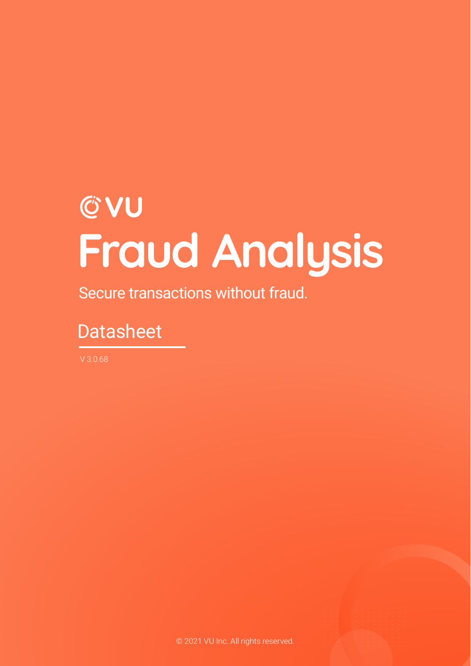# **CVU Fraud Analysis**

Secure transactions without fraud.

## **Datasheet**

V 3.0.68

© 2021 VU Inc. All rights reserved.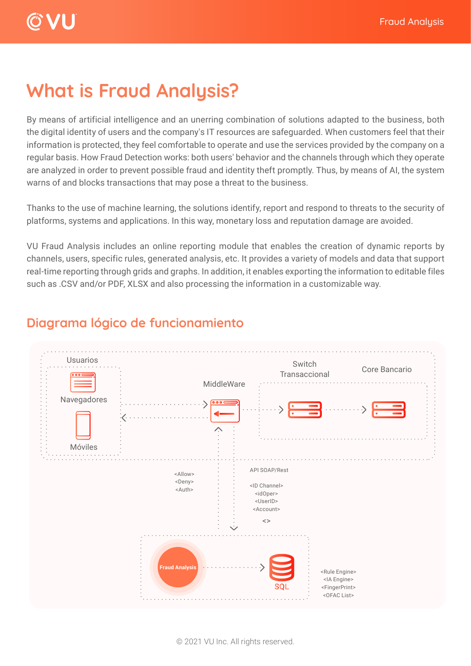#### **What is Fraud Analysis?**

By means of artificial intelligence and an unerring combination of solutions adapted to the business, both the digital identity of users and the company's IT resources are safeguarded. When customers feel that their information is protected, they feel comfortable to operate and use the services provided by the company on a regular basis. How Fraud Detection works: both users' behavior and the channels through which they operate are analyzed in order to prevent possible fraud and identity theft promptly. Thus, by means of AI, the system warns of and blocks transactions that may pose a threat to the business.

Thanks to the use of machine learning, the solutions identify, report and respond to threats to the security of platforms, systems and applications. In this way, monetary loss and reputation damage are avoided.

VU Fraud Analysis includes an online reporting module that enables the creation of dynamic reports by channels, users, specific rules, generated analysis, etc. It provides a variety of models and data that support real-time reporting through grids and graphs. In addition, it enables exporting the information to editable files such as .CSV and/or PDF, XLSX and also processing the information in a customizable way.



#### **Diagrama lógico de funcionamiento**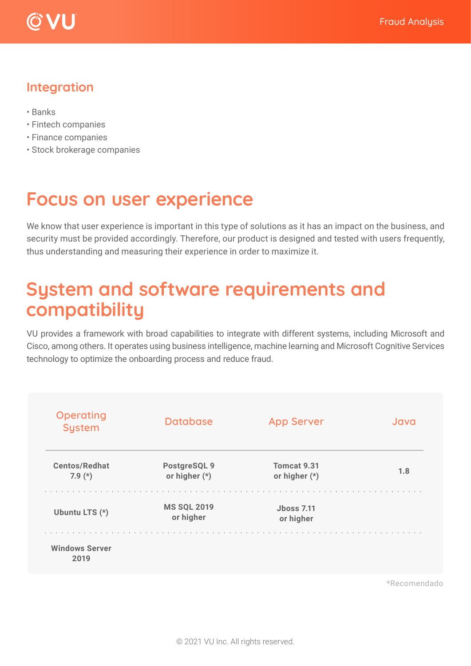



#### **Integration**

- Banks
- Fintech companies
- Finance companies
- Stock brokerage companies

#### **Focus on user experience**

We know that user experience is important in this type of solutions as it has an impact on the business, and security must be provided accordingly. Therefore, our product is designed and tested with users frequently, thus understanding and measuring their experience in order to maximize it.

#### **System and software requirements and compatibility**

VU provides a framework with broad capabilities to integrate with different systems, including Microsoft and Cisco, among others. It operates using business intelligence, machine learning and Microsoft Cognitive Services technology to optimize the onboarding process and reduce fraud.

| <b>Database</b>                 | <b>App Server</b>              | Java |  |
|---------------------------------|--------------------------------|------|--|
| PostgreSQL 9<br>or higher (*)   | Tomcat 9.31<br>or higher $(*)$ | 1.8  |  |
| <b>MS SQL 2019</b><br>or higher | <b>Jboss 7.11</b><br>or higher |      |  |
|                                 |                                |      |  |
|                                 |                                |      |  |

\*Recomendado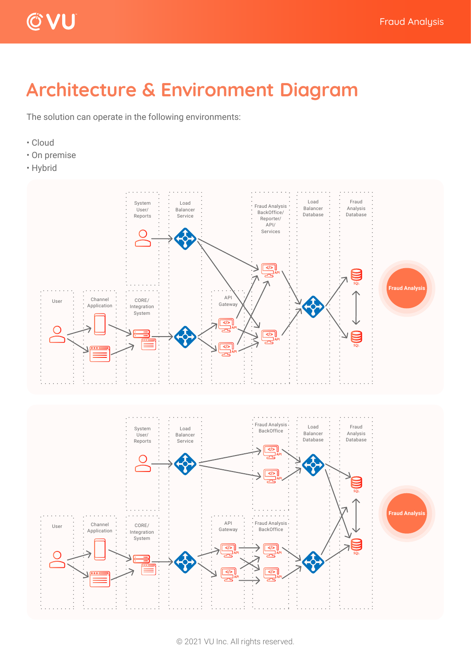

### **Architecture & Environment Diagram**

The solution can operate in the following environments:

- Cloud
- On premise
- Hybrid

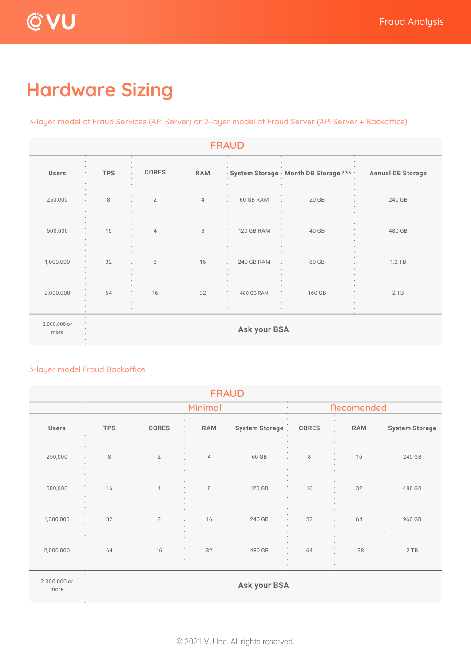# **Hardware Sizing**

3-layer model of Fraud Services (API Server) or 2-layer model of Fraud Server (API Server + Backoffice)

| <b>FRAUD</b>         |            |                                         |                |                          |                                           |                          |  |
|----------------------|------------|-----------------------------------------|----------------|--------------------------|-------------------------------------------|--------------------------|--|
| <b>Users</b>         | <b>TPS</b> | <b>CORES</b><br>٠                       | <b>RAM</b>     |                          | · System Storage · Month DB Storage *** · | <b>Annual DB Storage</b> |  |
| 250,000              | 8          | $\overline{2}$                          | $\overline{4}$ | 60 GB RAM                | 20 GB                                     | 240 GB                   |  |
| 500,000              | 16         | $\overline{4}$                          | 8              | 120 GB RAM<br>٠          | 40 GB                                     | 480 GB                   |  |
| 1,000,000            | 32<br>۰    | $\,8\,$                                 | 16             | 240 GB RAM               | 80 GB                                     | $1.2$ TB                 |  |
| 2,000,000            | 64         | 16<br>$\bullet$<br>$\ddot{\phantom{a}}$ | 32             | 480 GB RAM<br>$\epsilon$ | 160 GB<br>٠                               | 2TB                      |  |
| 2.000.000 or<br>more |            |                                         |                | <b>Ask your BSA</b>      |                                           |                          |  |

#### 3-layer model Fraud Backoffice

| <b>FRAUD</b>         |            |                   |                |                     |              |            |                |  |  |
|----------------------|------------|-------------------|----------------|---------------------|--------------|------------|----------------|--|--|
| ٠                    |            | Minimal<br>٠<br>٠ |                | Recomended          |              |            |                |  |  |
| ٠<br>Users           | <b>TPS</b> | <b>CORES</b>      | <b>RAM</b>     | System Storage      | <b>CORES</b> | <b>RAM</b> | System Storage |  |  |
| 250,000              | $\,8\,$    | $\mathbf{2}$      | $\overline{4}$ | 60 GB               | $\,8\,$      | 16         | 240 GB         |  |  |
| 500,000              | 16         | $\overline{4}$    | $\,8\,$        | 120 GB              | 16           | 32         | 480 GB         |  |  |
| 1,000,000            | 32         | 8                 | 16             | 240 GB              | 32           | 64         | 960 GB         |  |  |
| 2,000,000            | 64         | 16                | 32             | 480 GB              | 64           | 128        | 2TB            |  |  |
| 2.000.000 or<br>more |            |                   |                | <b>Ask your BSA</b> |              |            |                |  |  |